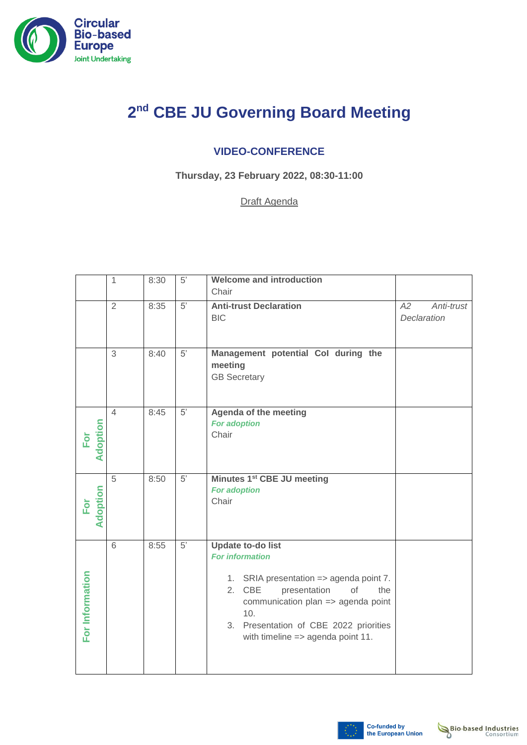

## **2 nd CBE JU Governing Board Meeting**

## **VIDEO-CONFERENCE**

**Thursday, 23 February 2022, 08:30-11:00**

Draft Agenda

|                        | 1              | 8:30 | $5'$ | <b>Welcome and introduction</b><br>Chair                                                                                                                                                                                                                                    |                                 |
|------------------------|----------------|------|------|-----------------------------------------------------------------------------------------------------------------------------------------------------------------------------------------------------------------------------------------------------------------------------|---------------------------------|
|                        | $\overline{2}$ | 8:35 | 5'   | <b>Anti-trust Declaration</b><br><b>BIC</b>                                                                                                                                                                                                                                 | A2<br>Anti-trust<br>Declaration |
|                        | 3              | 8:40 | 5'   | Management potential Col during the<br>meeting<br><b>GB Secretary</b>                                                                                                                                                                                                       |                                 |
| Adoption<br>For        | $\overline{4}$ | 8:45 | 5'   | Agenda of the meeting<br><b>For adoption</b><br>Chair                                                                                                                                                                                                                       |                                 |
| <b>Adoption</b><br>For | 5              | 8:50 | 5'   | Minutes 1 <sup>st</sup> CBE JU meeting<br><b>For adoption</b><br>Chair                                                                                                                                                                                                      |                                 |
| For Information        | 6              | 8:55 | 5'   | <b>Update to-do list</b><br><b>For information</b><br>1. SRIA presentation => agenda point 7.<br>2. CBE<br>presentation<br>of<br>the<br>communication plan => agenda point<br>10.<br>3. Presentation of CBE 2022 priorities<br>with timeline $\Rightarrow$ agenda point 11. |                                 |

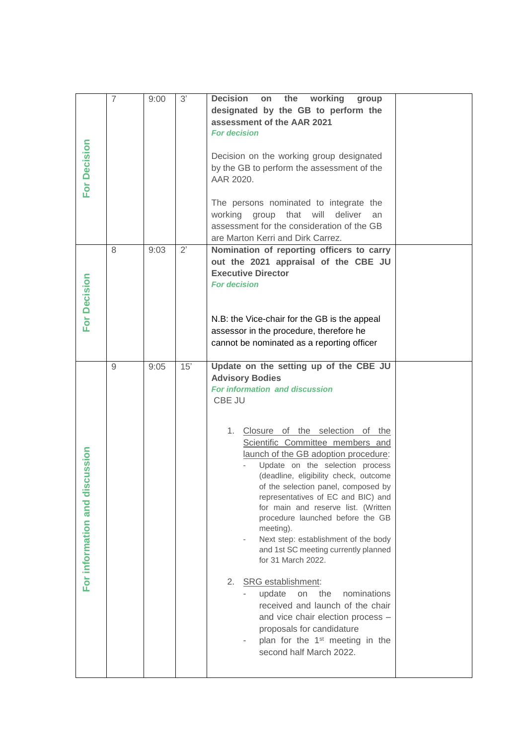|                                    | $\overline{7}$ | 9:00 | 3'  | <b>Decision</b><br>working<br>the<br>on<br>group<br>designated by the GB to perform the<br>assessment of the AAR 2021<br><b>For decision</b>                                                                                                                                                                                                        |  |
|------------------------------------|----------------|------|-----|-----------------------------------------------------------------------------------------------------------------------------------------------------------------------------------------------------------------------------------------------------------------------------------------------------------------------------------------------------|--|
| For Decision                       |                |      |     | Decision on the working group designated<br>by the GB to perform the assessment of the<br>AAR 2020.                                                                                                                                                                                                                                                 |  |
|                                    |                |      |     | The persons nominated to integrate the<br>working group that will<br>deliver<br>an<br>assessment for the consideration of the GB<br>are Marton Kerri and Dirk Carrez.                                                                                                                                                                               |  |
| For Decision                       | 8              | 9:03 | 2'  | Nomination of reporting officers to carry<br>out the 2021 appraisal of the CBE JU<br><b>Executive Director</b><br><b>For decision</b>                                                                                                                                                                                                               |  |
|                                    |                |      |     | N.B: the Vice-chair for the GB is the appeal<br>assessor in the procedure, therefore he<br>cannot be nominated as a reporting officer                                                                                                                                                                                                               |  |
|                                    | 9              | 9:05 | 15' | Update on the setting up of the CBE JU<br><b>Advisory Bodies</b><br>For information and discussion<br>CBE JU<br>1. Closure of the selection of the<br>Scientific Committee members and<br>launch of the GB adoption procedure:                                                                                                                      |  |
| cussion<br>For information and dis |                |      |     | Update on the selection process<br>(deadline, eligibility check, outcome<br>of the selection panel, composed by<br>representatives of EC and BIC) and<br>for main and reserve list. (Written<br>procedure launched before the GB<br>meeting).<br>Next step: establishment of the body<br>and 1st SC meeting currently planned<br>for 31 March 2022. |  |
|                                    |                |      |     | SRG establishment:<br>2.<br>nominations<br>update<br>the<br>on<br>received and launch of the chair<br>and vice chair election process -<br>proposals for candidature<br>plan for the 1 <sup>st</sup> meeting in the<br>second half March 2022.                                                                                                      |  |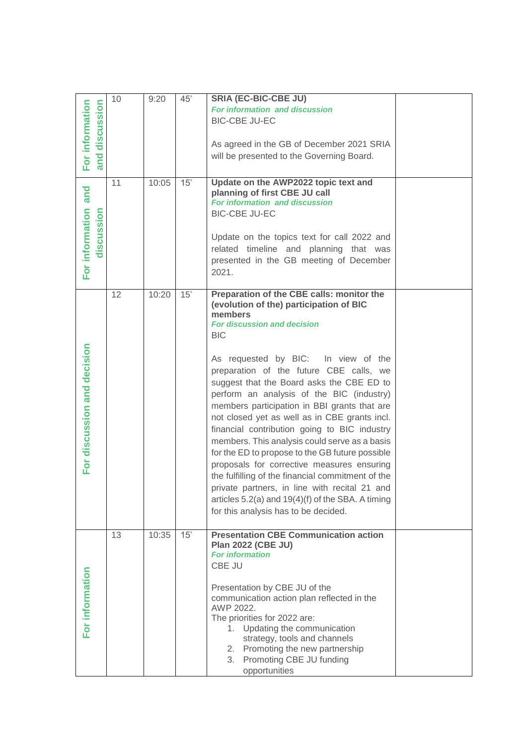| For information<br>and discussion | 10 | 9:20  | 45' | <b>SRIA (EC-BIC-CBE JU)</b>                         |  |
|-----------------------------------|----|-------|-----|-----------------------------------------------------|--|
| cussion                           |    |       |     | For information and discussion                      |  |
|                                   |    |       |     | <b>BIC-CBE JU-EC</b>                                |  |
|                                   |    |       |     |                                                     |  |
|                                   |    |       |     | As agreed in the GB of December 2021 SRIA           |  |
|                                   |    |       |     | will be presented to the Governing Board.           |  |
|                                   |    |       |     |                                                     |  |
|                                   | 11 | 10:05 | 15' | Update on the AWP2022 topic text and                |  |
| and                               |    |       |     | planning of first CBE JU call                       |  |
|                                   |    |       |     | For information and discussion                      |  |
| sion                              |    |       |     | <b>BIC-CBE JU-EC</b>                                |  |
| <b>in</b>                         |    |       |     |                                                     |  |
| ä                                 |    |       |     | Update on the topics text for call 2022 and         |  |
| For information<br>ທ<br>岩         |    |       |     | related timeline and planning that was              |  |
|                                   |    |       |     | presented in the GB meeting of December             |  |
|                                   |    |       |     | 2021.                                               |  |
|                                   |    |       |     |                                                     |  |
|                                   | 12 | 10:20 | 15' | Preparation of the CBE calls: monitor the           |  |
|                                   |    |       |     | (evolution of the) participation of BIC             |  |
|                                   |    |       |     | members<br><b>For discussion and decision</b>       |  |
|                                   |    |       |     | <b>BIC</b>                                          |  |
|                                   |    |       |     |                                                     |  |
| For discussion and decision       |    |       |     | As requested by BIC: In view of the                 |  |
|                                   |    |       |     |                                                     |  |
|                                   |    |       |     | preparation of the future CBE calls, we             |  |
|                                   |    |       |     | suggest that the Board asks the CBE ED to           |  |
|                                   |    |       |     | perform an analysis of the BIC (industry)           |  |
|                                   |    |       |     | members participation in BBI grants that are        |  |
|                                   |    |       |     | not closed yet as well as in CBE grants incl.       |  |
|                                   |    |       |     | financial contribution going to BIC industry        |  |
|                                   |    |       |     | members. This analysis could serve as a basis       |  |
|                                   |    |       |     | for the ED to propose to the GB future possible     |  |
|                                   |    |       |     | proposals for corrective measures ensuring          |  |
|                                   |    |       |     | the fulfilling of the financial commitment of the   |  |
|                                   |    |       |     | private partners, in line with recital 21 and       |  |
|                                   |    |       |     | articles 5.2(a) and 19(4)(f) of the SBA. A timing   |  |
|                                   |    |       |     | for this analysis has to be decided.                |  |
|                                   |    |       |     |                                                     |  |
|                                   | 13 | 10:35 | 15' | <b>Presentation CBE Communication action</b>        |  |
|                                   |    |       |     | <b>Plan 2022 (CBE JU)</b><br><b>For information</b> |  |
|                                   |    |       |     | CBE JU                                              |  |
|                                   |    |       |     |                                                     |  |
| For information                   |    |       |     | Presentation by CBE JU of the                       |  |
|                                   |    |       |     | communication action plan reflected in the          |  |
|                                   |    |       |     | AWP 2022.                                           |  |
|                                   |    |       |     | The priorities for 2022 are:                        |  |
|                                   |    |       |     | Updating the communication<br>1.                    |  |
|                                   |    |       |     | strategy, tools and channels                        |  |
|                                   |    |       |     | 2. Promoting the new partnership                    |  |
|                                   |    |       |     | Promoting CBE JU funding<br>3.                      |  |
|                                   |    |       |     | opportunities                                       |  |